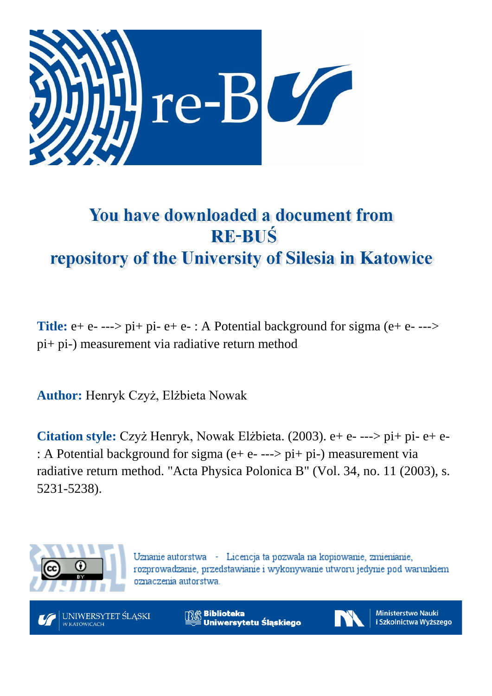

# You have downloaded a document from **RE-BUŚ** repository of the University of Silesia in Katowice

**Title:** e+ e- ---> pi+ pi- e+ e- : A Potential background for sigma (e+ e- ---> pi+ pi-) measurement via radiative return method

**Author:** Henryk Czyż, Elżbieta Nowak

**Citation style:** Czyż Henryk, Nowak Elżbieta. (2003). e+ e- ---> pi+ pi- e+ e- : A Potential background for sigma (e+ e- ---> pi+ pi-) measurement via radiative return method. "Acta Physica Polonica B" (Vol. 34, no. 11 (2003), s. 5231-5238).



Uznanie autorstwa - Licencja ta pozwala na kopiowanie, zmienianie, rozprowadzanie, przedstawianie i wykonywanie utworu jedynie pod warunkiem oznaczenia autorstwa.



**Biblioteka** Uniwersytetu Śląskiego



**Ministerstwo Nauki** i Szkolnictwa Wyższego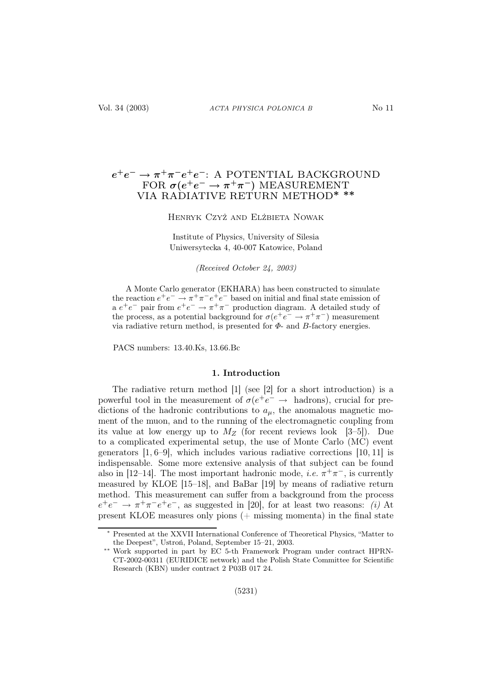# $e^+e^- \rightarrow \pi^+\pi^-e^+e^-$ : A POTENTIAL BACKGROUND FOR  $\sigma(e^+e^-\rightarrow \pi^+\pi^-)$  MEASUREMENT VIA RADIATIVE RETURN METHOD∗ ∗∗

# Henryk Czyż and Elżbieta Nowak

Institute of Physics, University of Silesia Uniwersytecka 4, 40-007 Katowice, Poland

*(Received October 24, 2003)*

A Monte Carlo generator (EKHARA) has been constructed to simulate the reaction  $e^+e^- \rightarrow \pi^+\pi^-e^+e^-$  based on initial and final state emission of a  $e^+e^-$  pair from  $e^+e^- \rightarrow \pi^+\pi^-$  production diagram. A detailed study of the process, as a potential background for  $\sigma(e^+e^- \to \pi^+\pi^-)$  measurement via radiative return method, is presented for  $\Phi$ - and  $B$ -factory energies.

PACS numbers: 13.40.Ks, 13.66.Bc

## 1. Introduction

The radiative return method [1] (see [2] for a short introduction) is a powerful tool in the measurement of  $\sigma(e^+e^- \rightarrow$  hadrons), crucial for predictions of the hadronic contributions to  $a_{\mu}$ , the anomalous magnetic moment of the muon, and to the running of the electromagnetic coupling from its value at low energy up to  $M_Z$  (for recent reviews look [3–5]). Due to a complicated experimental setup, the use of Monte Carlo (MC) event generators [1, 6–9], which includes various radiative corrections [10, 11] is indispensable. Some more extensive analysis of that subject can be found also in [12–14]. The most important hadronic mode, *i.e.*  $\pi^{+}\pi^{-}$ , is currently measured by KLOE [15–18], and BaBar [19] by means of radiative return method. This measurement can suffer from a background from the process  $e^+e^- \rightarrow \pi^+\pi^-e^+e^-$ , as suggested in [20], for at least two reasons: (i) At present KLOE measures only pions (+ missing momenta) in the final state

<sup>∗</sup> Presented at the XXVII International Conference of Theoretical Physics, "Matter to the Deepest", Ustroń, Poland, September 15–21, 2003.

<sup>∗∗</sup> Work supported in part by EC 5-th Framework Program under contract HPRN-CT-2002-00311 (EURIDICE network) and the Polish State Committee for Scientific Research (KBN) under contract 2 P03B 017 24.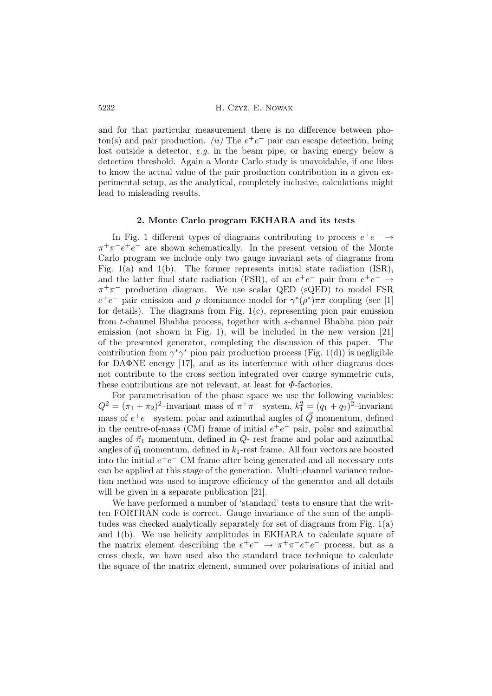and for that particular measurement there is no difference between photon(s) and pair production. (ii) The  $e^+e^-$  pair can escape detection, being lost outside a detector, e.g. in the beam pipe, or having energy below a detection threshold. Again a Monte Carlo study is unavoidable, if one likes to know the actual value of the pair production contribution in a given experimental setup, as the analytical, completely inclusive, calculations might lead to misleading results.

#### 2. Monte Carlo program EKHARA and its tests

In Fig. 1 different types of diagrams contributing to process  $e^+e^- \rightarrow$  $\pi^{+}\pi^{-}e^{+}e^{-}$  are shown schematically. In the present version of the Monte Carlo program we include only two gauge invariant sets of diagrams from Fig.  $1(a)$  and  $1(b)$ . The former represents initial state radiation (ISR), and the latter final state radiation (FSR), of an  $e^+e^-$  pair from  $e^+e^- \rightarrow$  $\pi^+\pi^-$  production diagram. We use scalar QED (sQED) to model FSR  $e^+e^-$  pair emission and  $\rho$  dominance model for  $\gamma^*(\rho^*)\pi\pi$  coupling (see [1] for details). The diagrams from Fig.  $1(c)$ , representing pion pair emission from t-channel Bhabha process, together with s-channel Bhabha pion pair emission (not shown in Fig. 1), will be included in the new version [21] of the presented generator, completing the discussion of this paper. The contribution from  $\gamma^* \gamma^*$  pion pair production process (Fig. 1(d)) is negligible for DAΦNE energy [17], and as its interference with other diagrams does not contribute to the cross section integrated over charge symmetric cuts, these contributions are not relevant, at least for  $\Phi$ -factories.

For parametrisation of the phase space we use the following variables:  $Q^2 = (\pi_1 + \pi_2)^2$ -invariant mass of  $\pi^+ \pi^-$  system,  $k_1^2 = (q_1 + q_2)^2$ -invariant mass of  $e^+e^-$  system, polar and azimuthal angles of  $\vec{Q}$  momentum, defined in the centre-of-mass (CM) frame of initial  $e^+e^-$  pair, polar and azimuthal angles of  $\vec{\pi}_1$  momentum, defined in  $Q$ - rest frame and polar and azimuthal angles of  $\vec{q}_1$  momentum, defined in  $k_1$ -rest frame. All four vectors are boosted into the initial  $e^+e^-$  CM frame after being generated and all necessary cuts can be applied at this stage of the generation. Multi–channel variance reduction method was used to improve efficiency of the generator and all details will be given in a separate publication [21].

We have performed a number of 'standard' tests to ensure that the written FORTRAN code is correct. Gauge invariance of the sum of the amplitudes was checked analytically separately for set of diagrams from Fig. 1(a) and 1(b). We use helicity amplitudes in EKHARA to calculate square of the matrix element describing the  $e^+e^- \rightarrow \pi^+\pi^-e^+e^-$  process, but as a cross check, we have used also the standard trace technique to calculate the square of the matrix element, summed over polarisations of initial and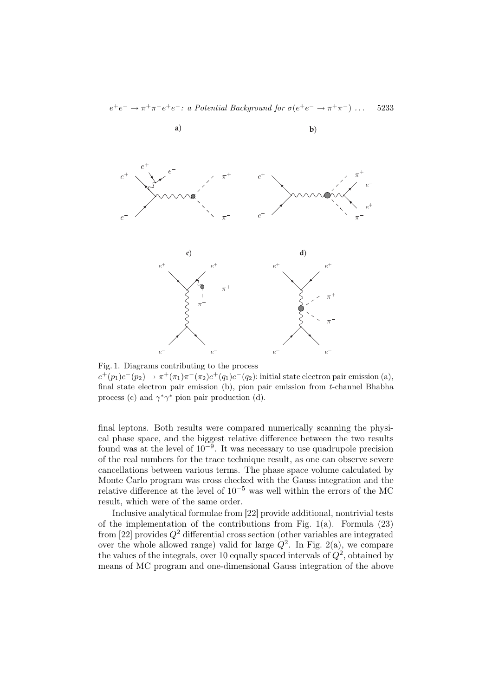

Fig. 1. Diagrams contributing to the process  $e^+(p_1)e^-(p_2) \to \pi^+(\pi_1)\pi^-(\pi_2)e^+(q_1)e^-(q_2)$ : initial state electron pair emission (a), final state electron pair emission (b), pion pair emission from t-channel Bhabha process (c) and  $\gamma^* \gamma^*$  pion pair production (d).

final leptons. Both results were compared numerically scanning the physical phase space, and the biggest relative difference between the two results found was at the level of  $10^{-9}$ . It was necessary to use quadrupole precision of the real numbers for the trace technique result, as one can observe severe cancellations between various terms. The phase space volume calculated by Monte Carlo program was cross checked with the Gauss integration and the relative difference at the level of  $10^{-5}$  was well within the errors of the MC result, which were of the same order.

Inclusive analytical formulae from [22] provide additional, nontrivial tests of the implementation of the contributions from Fig.  $1(a)$ . Formula  $(23)$ from [22] provides  $Q^2$  differential cross section (other variables are integrated over the whole allowed range) valid for large  $Q^2$ . In Fig. 2(a), we compare the values of the integrals, over 10 equally spaced intervals of  $Q^2$ , obtained by means of MC program and one-dimensional Gauss integration of the above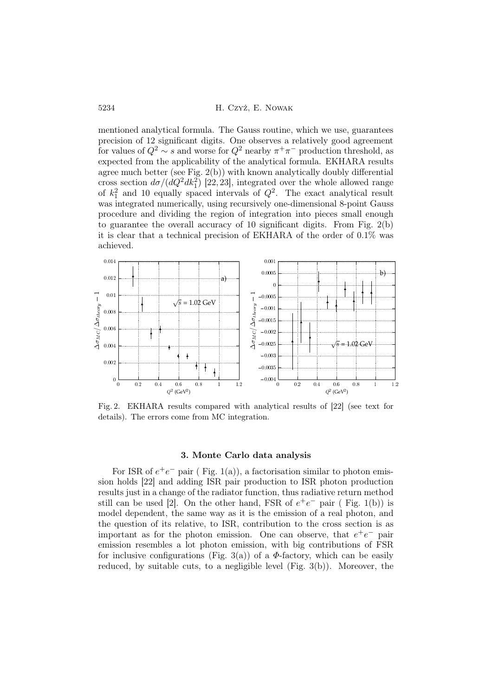mentioned analytical formula. The Gauss routine, which we use, guarantees precision of 12 significant digits. One observes a relatively good agreement for values of  $Q^2 \sim s$  and worse for  $Q^2$  nearby  $\pi^+\pi^-$  production threshold, as expected from the applicability of the analytical formula. EKHARA results agree much better (see Fig. 2(b)) with known analytically doubly differential cross section  $d\sigma/(dQ^2dk_1^2)$  [22, 23], integrated over the whole allowed range of  $k_1^2$  and 10 equally spaced intervals of  $Q^2$ . The exact analytical result was integrated numerically, using recursively one-dimensional 8-point Gauss procedure and dividing the region of integration into pieces small enough to guarantee the overall accuracy of 10 significant digits. From Fig. 2(b) it is clear that a technical precision of EKHARA of the order of 0.1% was achieved.



Fig. 2. EKHARA results compared with analytical results of [22] (see text for details). The errors come from MC integration.

#### 3. Monte Carlo data analysis

For ISR of  $e^+e^-$  pair (Fig. 1(a)), a factorisation similar to photon emission holds [22] and adding ISR pair production to ISR photon production results just in a change of the radiator function, thus radiative return method still can be used [2]. On the other hand, FSR of  $e^+e^-$  pair (Fig. 1(b)) is model dependent, the same way as it is the emission of a real photon, and the question of its relative, to ISR, contribution to the cross section is as important as for the photon emission. One can observe, that  $e^+e^-$  pair emission resembles a lot photon emission, with big contributions of FSR for inclusive configurations (Fig. 3(a)) of a  $\Phi$ -factory, which can be easily reduced, by suitable cuts, to a negligible level (Fig. 3(b)). Moreover, the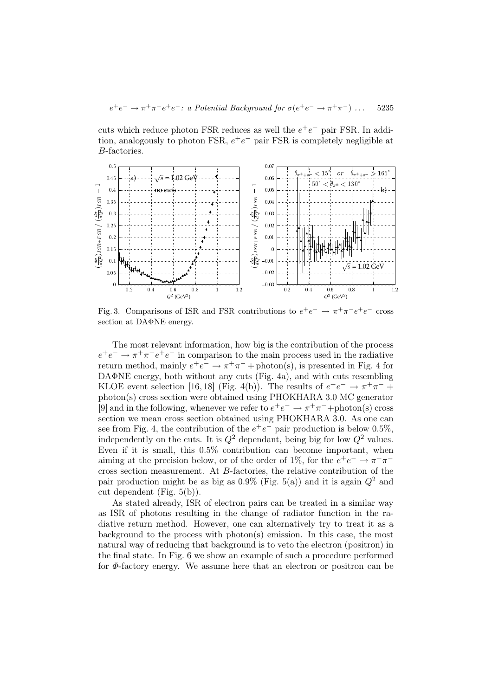$$
e^+e^- \to \pi^+\pi^-e^+e^-
$$
: a Potential Background for  $\sigma(e^+e^- \to \pi^+\pi^-)$  ... 5235

cuts which reduce photon FSR reduces as well the  $e^+e^-$  pair FSR. In addition, analogously to photon FSR,  $e^+e^-$  pair FSR is completely negligible at B-factories.



Fig. 3. Comparisons of ISR and FSR contributions to  $e^+e^- \rightarrow \pi^+\pi^-e^+e^-$  cross section at DAΦNE energy.

The most relevant information, how big is the contribution of the process  $e^+e^- \rightarrow \pi^+\pi^-e^+e^-$  in comparison to the main process used in the radiative return method, mainly  $e^+e^- \rightarrow \pi^+\pi^-$  + photon(s), is presented in Fig. 4 for DAΦNE energy, both without any cuts (Fig. 4a), and with cuts resembling KLOE event selection [16,18] (Fig. 4(b)). The results of  $e^+e^- \rightarrow \pi^+\pi^-$  + photon(s) cross section were obtained using PHOKHARA 3.0 MC generator [9] and in the following, whenever we refer to  $e^+e^- \to \pi^+\pi^-$ +photon(s) cross section we mean cross section obtained using PHOKHARA 3.0. As one can see from Fig. 4, the contribution of the  $e^+e^-$  pair production is below 0.5%, independently on the cuts. It is  $Q^2$  dependant, being big for low  $Q^2$  values. Even if it is small, this 0.5% contribution can become important, when aiming at the precision below, or of the order of 1%, for the  $e^+e^- \rightarrow \pi^+\pi^$ cross section measurement. At B-factories, the relative contribution of the pair production might be as big as  $0.9\%$  (Fig. 5(a)) and it is again  $Q^2$  and cut dependent (Fig. 5(b)).

As stated already, ISR of electron pairs can be treated in a similar way as ISR of photons resulting in the change of radiator function in the radiative return method. However, one can alternatively try to treat it as a background to the process with photon(s) emission. In this case, the most natural way of reducing that background is to veto the electron (positron) in the final state. In Fig. 6 we show an example of such a procedure performed for Φ-factory energy. We assume here that an electron or positron can be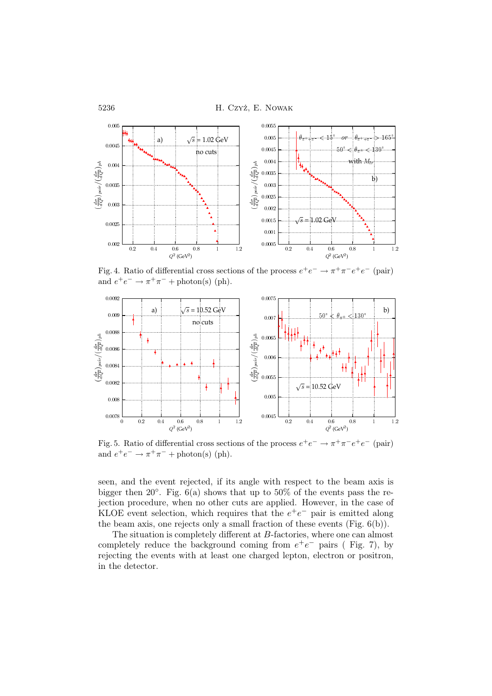

Fig. 4. Ratio of differential cross sections of the process  $e^+e^- \to \pi^+\pi^-e^+e^-$  (pair) and  $e^+e^- \to \pi^+\pi^- + \text{photon(s)}$  (ph).



Fig. 5. Ratio of differential cross sections of the process  $e^+e^- \to \pi^+\pi^-e^+e^-$  (pair) and  $e^+e^- \to \pi^+\pi^-$  + photon(s) (ph).

seen, and the event rejected, if its angle with respect to the beam axis is bigger then 20°. Fig.  $6(a)$  shows that up to 50% of the events pass the rejection procedure, when no other cuts are applied. However, in the case of KLOE event selection, which requires that the  $e^+e^-$  pair is emitted along the beam axis, one rejects only a small fraction of these events (Fig. 6(b)).

The situation is completely different at B-factories, where one can almost completely reduce the background coming from  $e^+e^-$  pairs (Fig. 7), by rejecting the events with at least one charged lepton, electron or positron, in the detector.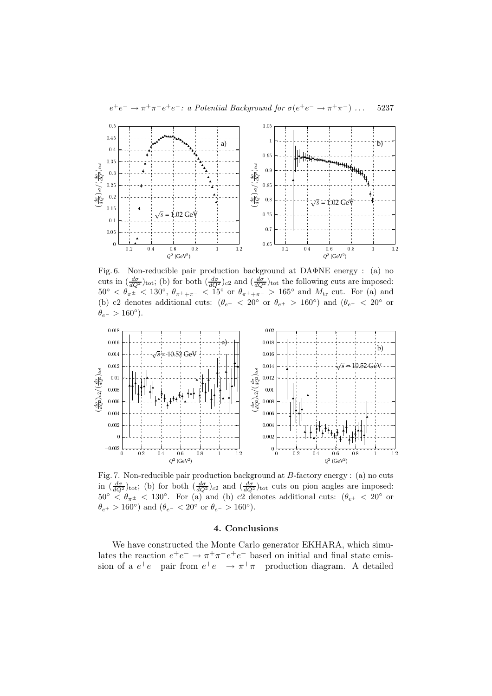

Fig. 6. Non-reducible pair production background at DAΦNE energy : (a) no cuts in  $\left(\frac{d\sigma}{dQ^2}\right)_{\text{tot}}$ ; (b) for both  $\left(\frac{d\sigma}{dQ^2}\right)_{c2}$  and  $\left(\frac{d\sigma}{dQ^2}\right)_{\text{tot}}$  the following cuts are imposed:  $50^{\circ} < \theta_{\pi^{\pm}} \ll 130^{\circ}, \ \theta_{\pi^+ + \pi^-} \ll 15^{\circ} \text{ or } \theta_{\pi^+ + \pi^-} > 165^{\circ} \text{ and } M_{\text{tr}} \text{ cut. For (a) and}$ (b) c2 denotes additional cuts:  $(\theta_{e^+}$  < 20<sup>°</sup> or  $\theta_{e^+}$  > 160<sup>°</sup>) and  $(\theta_{e^-}$  < 20<sup>°</sup> or  $\theta_{e^-} > 160^\circ$ ).



Fig. 7. Non-reducible pair production background at B-factory energy : (a) no cuts in  $\left(\frac{d\sigma}{dQ^2}\right)_{\text{tot}}$ ; (b) for both  $\left(\frac{d\sigma}{dQ^2}\right)_{c2}$  and  $\left(\frac{d\sigma}{dQ^2}\right)_{\text{tot}}$  cuts on pion angles are imposed:  $50^{\circ} < \theta_{\pi \pm} < 130^{\circ}$ . For (a) and (b) c2 denotes additional cuts:  $(\theta_{e^+} < 20^{\circ}$  or  $\theta_{e^+} > 160^{\circ}$ ) and  $(\theta_{e^-} < 20^{\circ} \text{ or } \theta_{e^-} > 160^{\circ}).$ 

## 4. Conclusions

We have constructed the Monte Carlo generator EKHARA, which simulates the reaction  $e^+e^- \to \pi^+\pi^-e^+e^-$  based on initial and final state emission of a  $e^+e^-$  pair from  $e^+e^- \rightarrow \pi^+\pi^-$  production diagram. A detailed